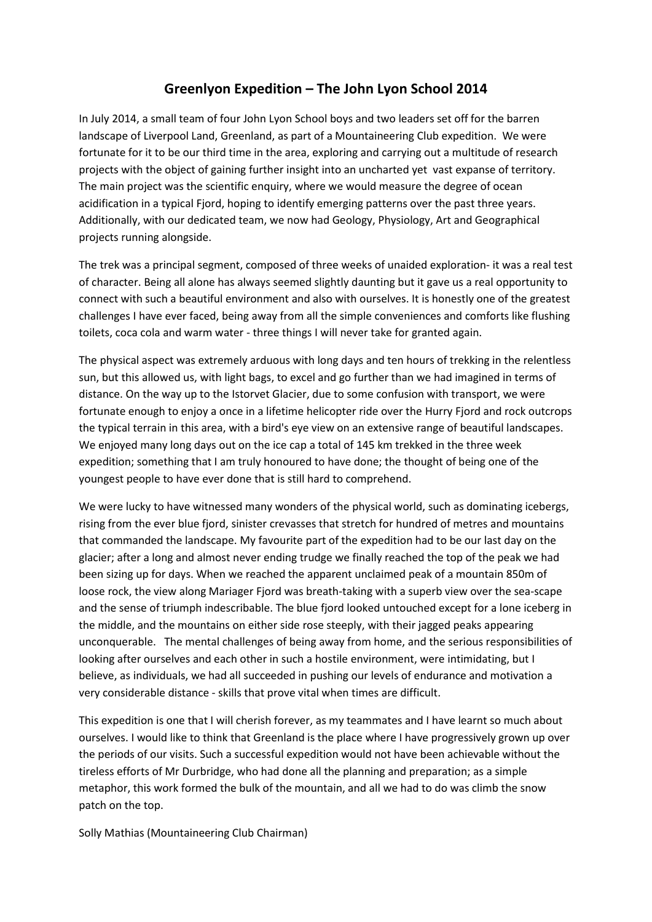## **Greenlyon Expedition – The John Lyon School 2014**

In July 2014, a small team of four John Lyon School boys and two leaders set off for the barren landscape of Liverpool Land, Greenland, as part of a Mountaineering Club expedition. We were fortunate for it to be our third time in the area, exploring and carrying out a multitude of research projects with the object of gaining further insight into an uncharted yet vast expanse of territory. The main project was the scientific enquiry, where we would measure the degree of ocean acidification in a typical Fjord, hoping to identify emerging patterns over the past three years. Additionally, with our dedicated team, we now had Geology, Physiology, Art and Geographical projects running alongside.

The trek was a principal segment, composed of three weeks of unaided exploration- it was a real test of character. Being all alone has always seemed slightly daunting but it gave us a real opportunity to connect with such a beautiful environment and also with ourselves. It is honestly one of the greatest challenges I have ever faced, being away from all the simple conveniences and comforts like flushing toilets, coca cola and warm water - three things I will never take for granted again.

The physical aspect was extremely arduous with long days and ten hours of trekking in the relentless sun, but this allowed us, with light bags, to excel and go further than we had imagined in terms of distance. On the way up to the Istorvet Glacier, due to some confusion with transport, we were fortunate enough to enjoy a once in a lifetime helicopter ride over the Hurry Fjord and rock outcrops the typical terrain in this area, with a bird's eye view on an extensive range of beautiful landscapes. We enjoyed many long days out on the ice cap a total of 145 km trekked in the three week expedition; something that I am truly honoured to have done; the thought of being one of the youngest people to have ever done that is still hard to comprehend.

We were lucky to have witnessed many wonders of the physical world, such as dominating icebergs, rising from the ever blue fjord, sinister crevasses that stretch for hundred of metres and mountains that commanded the landscape. My favourite part of the expedition had to be our last day on the glacier; after a long and almost never ending trudge we finally reached the top of the peak we had been sizing up for days. When we reached the apparent unclaimed peak of a mountain 850m of loose rock, the view along Mariager Fjord was breath-taking with a superb view over the sea-scape and the sense of triumph indescribable. The blue fjord looked untouched except for a lone iceberg in the middle, and the mountains on either side rose steeply, with their jagged peaks appearing unconquerable. The mental challenges of being away from home, and the serious responsibilities of looking after ourselves and each other in such a hostile environment, were intimidating, but I believe, as individuals, we had all succeeded in pushing our levels of endurance and motivation a very considerable distance - skills that prove vital when times are difficult.

This expedition is one that I will cherish forever, as my teammates and I have learnt so much about ourselves. I would like to think that Greenland is the place where I have progressively grown up over the periods of our visits. Such a successful expedition would not have been achievable without the tireless efforts of Mr Durbridge, who had done all the planning and preparation; as a simple metaphor, this work formed the bulk of the mountain, and all we had to do was climb the snow patch on the top.

Solly Mathias (Mountaineering Club Chairman)